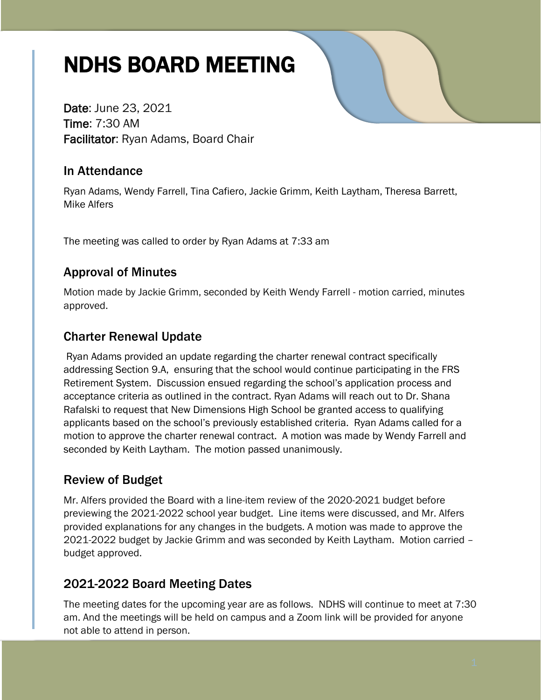# NDHS BOARD MEETING

Date: June 23, 2021 Time: 7:30 AM Facilitator: Ryan Adams, Board Chair

# In Attendance

Ryan Adams, Wendy Farrell, Tina Cafiero, Jackie Grimm, Keith Laytham, Theresa Barrett, Mike Alfers

The meeting was called to order by Ryan Adams at 7:33 am

# Approval of Minutes

Motion made by Jackie Grimm, seconded by Keith Wendy Farrell - motion carried, minutes approved.

# Charter Renewal Update

Ryan Adams provided an update regarding the charter renewal contract specifically addressing Section 9.A, ensuring that the school would continue participating in the FRS Retirement System. Discussion ensued regarding the school's application process and acceptance criteria as outlined in the contract. Ryan Adams will reach out to Dr. Shana Rafalski to request that New Dimensions High School be granted access to qualifying applicants based on the school's previously established criteria. Ryan Adams called for a motion to approve the charter renewal contract. A motion was made by Wendy Farrell and seconded by Keith Laytham. The motion passed unanimously.

# Review of Budget

Mr. Alfers provided the Board with a line-item review of the 2020-2021 budget before previewing the 2021-2022 school year budget. Line items were discussed, and Mr. Alfers provided explanations for any changes in the budgets. A motion was made to approve the 2021-2022 budget by Jackie Grimm and was seconded by Keith Laytham. Motion carried – budget approved.

## 2021-2022 Board Meeting Dates

The meeting dates for the upcoming year are as follows. NDHS will continue to meet at 7:30 am. And the meetings will be held on campus and a Zoom link will be provided for anyone not able to attend in person.